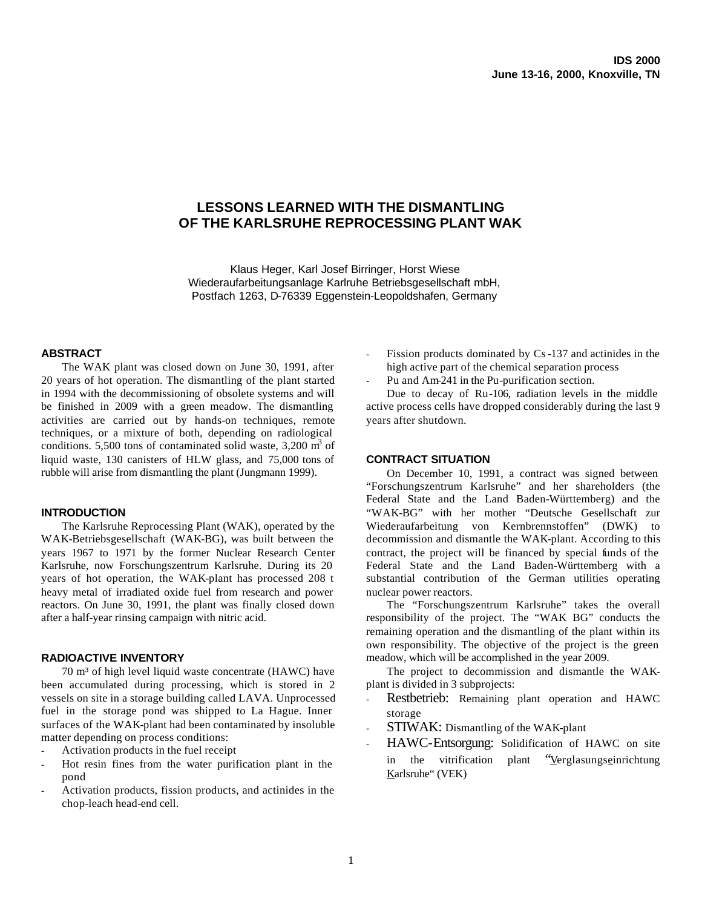# **LESSONS LEARNED WITH THE DISMANTLING OF THE KARLSRUHE REPROCESSING PLANT WAK**

Klaus Heger, Karl Josef Birringer, Horst Wiese Wiederaufarbeitungsanlage Karlruhe Betriebsgesellschaft mbH, Postfach 1263, D-76339 Eggenstein-Leopoldshafen, Germany

### **ABSTRACT**

The WAK plant was closed down on June 30, 1991, after 20 years of hot operation. The dismantling of the plant started in 1994 with the decommissioning of obsolete systems and will be finished in 2009 with a green meadow. The dismantling activities are carried out by hands-on techniques, remote techniques, or a mixture of both, depending on radiological conditions. 5,500 tons of contaminated solid waste,  $3,200 \text{ m}^3$  of liquid waste, 130 canisters of HLW glass, and 75,000 tons of rubble will arise from dismantling the plant (Jungmann 1999).

### **INTRODUCTION**

The Karlsruhe Reprocessing Plant (WAK), operated by the WAK-Betriebsgesellschaft (WAK-BG), was built between the years 1967 to 1971 by the former Nuclear Research Center Karlsruhe, now Forschungszentrum Karlsruhe. During its 20 years of hot operation, the WAK-plant has processed 208 t heavy metal of irradiated oxide fuel from research and power reactors. On June 30, 1991, the plant was finally closed down after a half-year rinsing campaign with nitric acid.

### **RADIOACTIVE INVENTORY**

70 m³ of high level liquid waste concentrate (HAWC) have been accumulated during processing, which is stored in 2 vessels on site in a storage building called LAVA. Unprocessed fuel in the storage pond was shipped to La Hague. Inner surfaces of the WAK-plant had been contaminated by insoluble matter depending on process conditions:

- Activation products in the fuel receipt
- Hot resin fines from the water purification plant in the pond
- Activation products, fission products, and actinides in the chop-leach head-end cell.
- Fission products dominated by Cs-137 and actinides in the high active part of the chemical separation process
- Pu and Am-241 in the Pu-purification section.

Due to decay of Ru-106, radiation levels in the middle active process cells have dropped considerably during the last 9 years after shutdown.

# **CONTRACT SITUATION**

On December 10, 1991, a contract was signed between "Forschungszentrum Karlsruhe" and her shareholders (the Federal State and the Land Baden-Württemberg) and the "WAK-BG" with her mother "Deutsche Gesellschaft zur Wiederaufarbeitung von Kernbrennstoffen" (DWK) to decommission and dismantle the WAK-plant. According to this contract, the project will be financed by special funds of the Federal State and the Land Baden-Württemberg with a substantial contribution of the German utilities operating nuclear power reactors.

The "Forschungszentrum Karlsruhe" takes the overall responsibility of the project. The "WAK BG" conducts the remaining operation and the dismantling of the plant within its own responsibility. The objective of the project is the green meadow, which will be accomplished in the year 2009.

The project to decommission and dismantle the WAKplant is divided in 3 subprojects:

- Restbetrieb: Remaining plant operation and HAWC storage
- STIWAK: Dismantling of the WAK-plant
- HAWC-Entsorgung: Solidification of HAWC on site in the vitrification plant "Verglasungseinrichtung Karlsruhe" (VEK)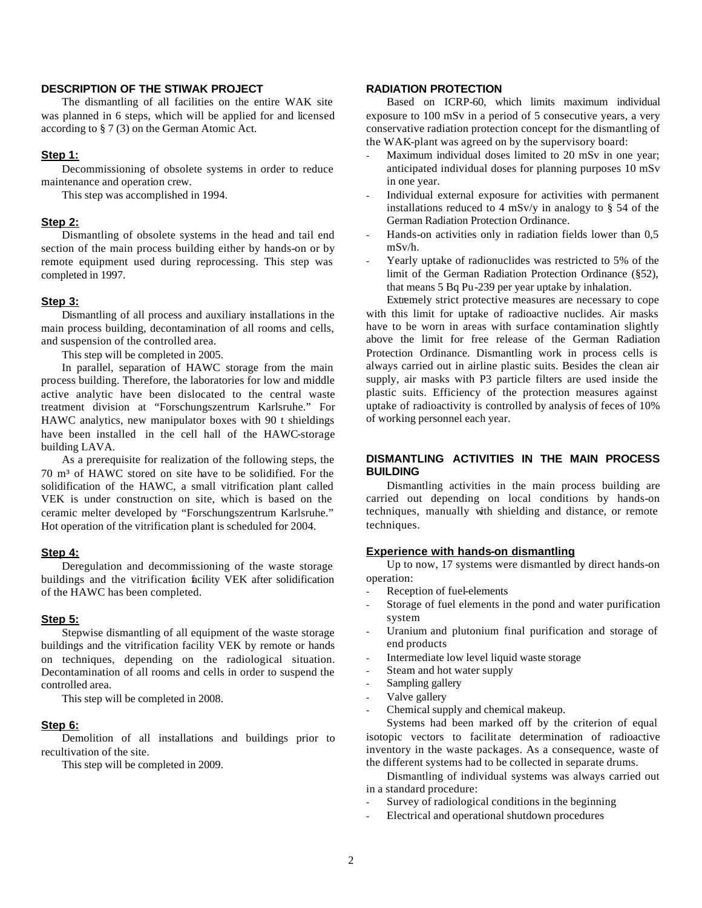# **DESCRIPTION OF THE STIWAK PROJECT**

The dismantling of all facilities on the entire WAK site was planned in 6 steps, which will be applied for and licensed according to § 7 (3) on the German Atomic Act.

### **Step 1:**

Decommissioning of obsolete systems in order to reduce maintenance and operation crew.

This step was accomplished in 1994.

### **Step 2:**

Dismantling of obsolete systems in the head and tail end section of the main process building either by hands-on or by remote equipment used during reprocessing. This step was completed in 1997.

# **Step 3:**

Dismantling of all process and auxiliary installations in the main process building, decontamination of all rooms and cells, and suspension of the controlled area.

This step will be completed in 2005.

In parallel, separation of HAWC storage from the main process building. Therefore, the laboratories for low and middle active analytic have been dislocated to the central waste treatment division at "Forschungszentrum Karlsruhe." For HAWC analytics, new manipulator boxes with 90 t shieldings have been installed in the cell hall of the HAWC-storage building LAVA.

As a prerequisite for realization of the following steps, the 70 m³ of HAWC stored on site have to be solidified. For the solidification of the HAWC, a small vitrification plant called VEK is under construction on site, which is based on the ceramic melter developed by "Forschungszentrum Karlsruhe." Hot operation of the vitrification plant is scheduled for 2004.

### **Step 4:**

Deregulation and decommissioning of the waste storage buildings and the vitrification facility VEK after solidification of the HAWC has been completed.

#### **Step 5:**

Stepwise dismantling of all equipment of the waste storage buildings and the vitrification facility VEK by remote or hands on techniques, depending on the radiological situation. Decontamination of all rooms and cells in order to suspend the controlled area.

This step will be completed in 2008.

#### **Step 6:**

Demolition of all installations and buildings prior to recultivation of the site.

This step will be completed in 2009.

# **RADIATION PROTECTION**

Based on ICRP-60, which limits maximum individual exposure to 100 mSv in a period of 5 consecutive years, a very conservative radiation protection concept for the dismantling of the WAK-plant was agreed on by the supervisory board:

- Maximum individual doses limited to 20 mSv in one year; anticipated individual doses for planning purposes 10 mSv in one year.
- Individual external exposure for activities with permanent installations reduced to 4 mSv/y in analogy to  $\hat{\S}$  54 of the German Radiation Protection Ordinance.
- Hands-on activities only in radiation fields lower than 0,5 mSv/h.
- Yearly uptake of radionuclides was restricted to 5% of the limit of the German Radiation Protection Ordinance (§52), that means 5 Bq Pu-239 per year uptake by inhalation.

Extremely strict protective measures are necessary to cope with this limit for uptake of radioactive nuclides. Air masks have to be worn in areas with surface contamination slightly above the limit for free release of the German Radiation Protection Ordinance. Dismantling work in process cells is always carried out in airline plastic suits. Besides the clean air supply, air masks with P3 particle filters are used inside the plastic suits. Efficiency of the protection measures against uptake of radioactivity is controlled by analysis of feces of 10% of working personnel each year.

# **DISMANTLING ACTIVITIES IN THE MAIN PROCESS BUILDING**

Dismantling activities in the main process building are carried out depending on local conditions by hands-on techniques, manually with shielding and distance, or remote techniques.

# **Experience with hands-on dismantling**

Up to now, 17 systems were dismantled by direct hands-on operation:

- Reception of fuel-elements
- Storage of fuel elements in the pond and water purification system
- Uranium and plutonium final purification and storage of end products
- Intermediate low level liquid waste storage
- Steam and hot water supply
- Sampling gallery
- Valve gallery
- Chemical supply and chemical makeup.

Systems had been marked off by the criterion of equal isotopic vectors to facilitate determination of radioactive inventory in the waste packages. As a consequence, waste of the different systems had to be collected in separate drums.

Dismantling of individual systems was always carried out in a standard procedure:

- Survey of radiological conditions in the beginning
- Electrical and operational shutdown procedures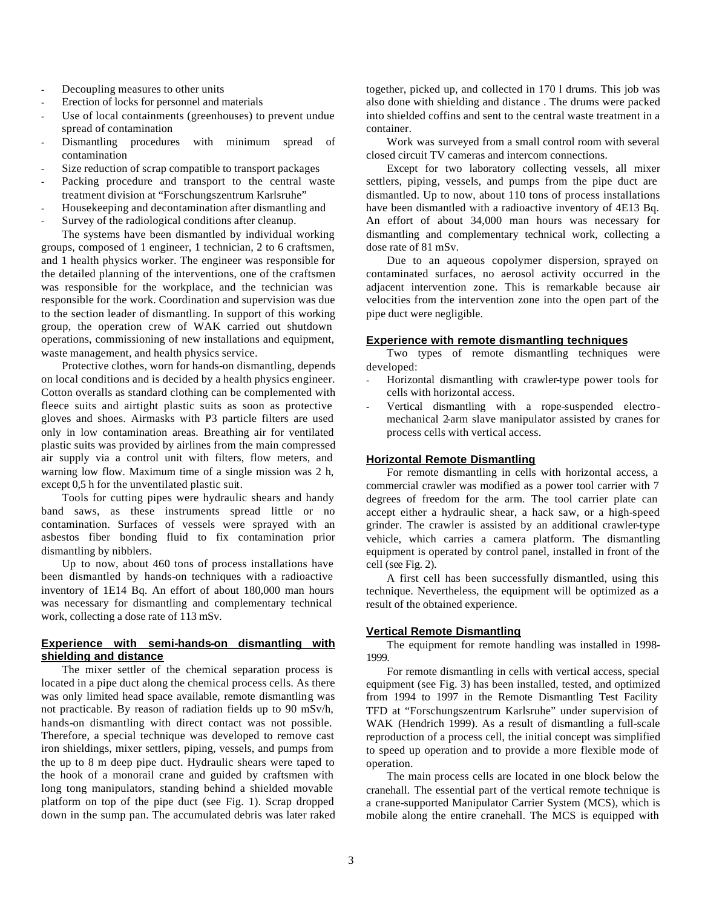- Decoupling measures to other units
- Erection of locks for personnel and materials
- Use of local containments (greenhouses) to prevent undue spread of contamination
- Dismantling procedures with minimum spread of contamination
- Size reduction of scrap compatible to transport packages
- Packing procedure and transport to the central waste treatment division at "Forschungszentrum Karlsruhe"
- Housekeeping and decontamination after dismantling and
- Survey of the radiological conditions after cleanup.

The systems have been dismantled by individual working groups, composed of 1 engineer, 1 technician, 2 to 6 craftsmen, and 1 health physics worker. The engineer was responsible for the detailed planning of the interventions, one of the craftsmen was responsible for the workplace, and the technician was responsible for the work. Coordination and supervision was due to the section leader of dismantling. In support of this working group, the operation crew of WAK carried out shutdown operations, commissioning of new installations and equipment, waste management, and health physics service.

Protective clothes, worn for hands-on dismantling, depends on local conditions and is decided by a health physics engineer. Cotton overalls as standard clothing can be complemented with fleece suits and airtight plastic suits as soon as protective gloves and shoes. Airmasks with P3 particle filters are used only in low contamination areas. Breathing air for ventilated plastic suits was provided by airlines from the main compressed air supply via a control unit with filters, flow meters, and warning low flow. Maximum time of a single mission was 2 h, except 0,5 h for the unventilated plastic suit.

Tools for cutting pipes were hydraulic shears and handy band saws, as these instruments spread little or no contamination. Surfaces of vessels were sprayed with an asbestos fiber bonding fluid to fix contamination prior dismantling by nibblers.

Up to now, about 460 tons of process installations have been dismantled by hands-on techniques with a radioactive inventory of 1E14 Bq. An effort of about 180,000 man hours was necessary for dismantling and complementary technical work, collecting a dose rate of 113 mSv.

# **Experience with semi-hands-on dismantling with shielding and distance**

The mixer settler of the chemical separation process is located in a pipe duct along the chemical process cells. As there was only limited head space available, remote dismantling was not practicable. By reason of radiation fields up to 90 mSv/h, hands-on dismantling with direct contact was not possible. Therefore, a special technique was developed to remove cast iron shieldings, mixer settlers, piping, vessels, and pumps from the up to 8 m deep pipe duct. Hydraulic shears were taped to the hook of a monorail crane and guided by craftsmen with long tong manipulators, standing behind a shielded movable platform on top of the pipe duct (see Fig. 1). Scrap dropped down in the sump pan. The accumulated debris was later raked together, picked up, and collected in 170 l drums. This job was also done with shielding and distance . The drums were packed into shielded coffins and sent to the central waste treatment in a container.

Work was surveyed from a small control room with several closed circuit TV cameras and intercom connections.

Except for two laboratory collecting vessels, all mixer settlers, piping, vessels, and pumps from the pipe duct are dismantled. Up to now, about 110 tons of process installations have been dismantled with a radioactive inventory of 4E13 Bq. An effort of about 34,000 man hours was necessary for dismantling and complementary technical work, collecting a dose rate of 81 mSv.

Due to an aqueous copolymer dispersion, sprayed on contaminated surfaces, no aerosol activity occurred in the adjacent intervention zone. This is remarkable because air velocities from the intervention zone into the open part of the pipe duct were negligible.

# **Experience with remote dismantling techniques**

Two types of remote dismantling techniques were developed:

- Horizontal dismantling with crawler-type power tools for cells with horizontal access.
- Vertical dismantling with a rope-suspended electromechanical 2-arm slave manipulator assisted by cranes for process cells with vertical access.

### **Horizontal Remote Dismantling**

For remote dismantling in cells with horizontal access, a commercial crawler was modified as a power tool carrier with 7 degrees of freedom for the arm. The tool carrier plate can accept either a hydraulic shear, a hack saw, or a high-speed grinder. The crawler is assisted by an additional crawler-type vehicle, which carries a camera platform. The dismantling equipment is operated by control panel, installed in front of the cell (see Fig. 2).

A first cell has been successfully dismantled, using this technique. Nevertheless, the equipment will be optimized as a result of the obtained experience.

# **Vertical Remote Dismantling**

The equipment for remote handling was installed in 1998- 1999.

For remote dismantling in cells with vertical access, special equipment (see Fig. 3) has been installed, tested, and optimized from 1994 to 1997 in the Remote Dismantling Test Facility TFD at "Forschungszentrum Karlsruhe" under supervision of WAK (Hendrich 1999). As a result of dismantling a full-scale reproduction of a process cell, the initial concept was simplified to speed up operation and to provide a more flexible mode of operation.

The main process cells are located in one block below the cranehall. The essential part of the vertical remote technique is a crane-supported Manipulator Carrier System (MCS), which is mobile along the entire cranehall. The MCS is equipped with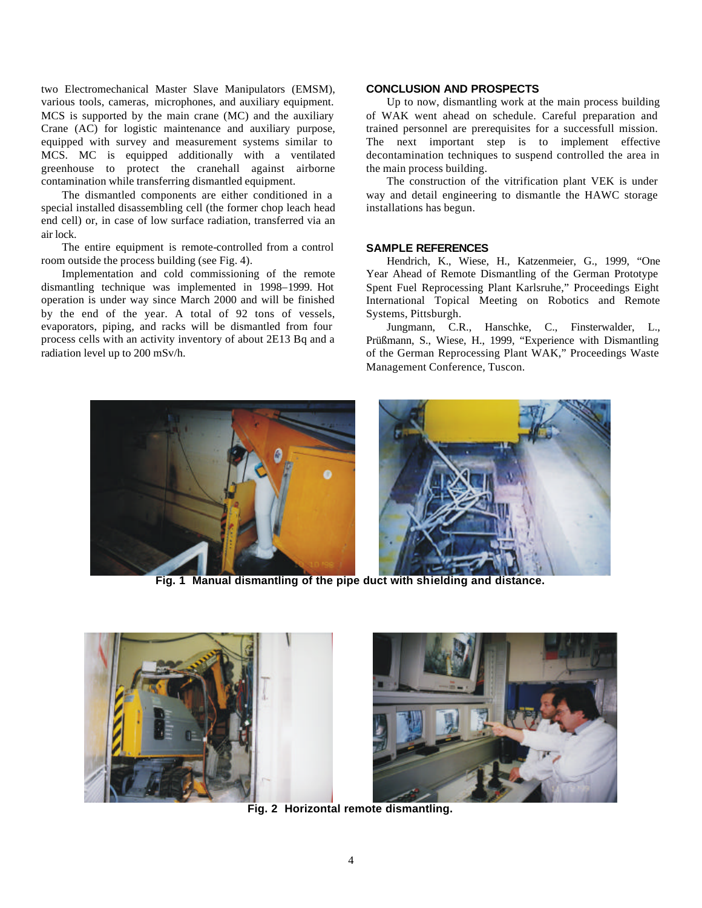two Electromechanical Master Slave Manipulators (EMSM), various tools, cameras, microphones, and auxiliary equipment. MCS is supported by the main crane (MC) and the auxiliary Crane (AC) for logistic maintenance and auxiliary purpose, equipped with survey and measurement systems similar to MCS. MC is equipped additionally with a ventilated greenhouse to protect the cranehall against airborne contamination while transferring dismantled equipment.

The dismantled components are either conditioned in a special installed disassembling cell (the former chop leach head end cell) or, in case of low surface radiation, transferred via an air lock.

The entire equipment is remote-controlled from a control room outside the process building (see Fig. 4).

Implementation and cold commissioning of the remote dismantling technique was implemented in 1998–1999. Hot operation is under way since March 2000 and will be finished by the end of the year. A total of 92 tons of vessels, evaporators, piping, and racks will be dismantled from four process cells with an activity inventory of about 2E13 Bq and a radiation level up to 200 mSv/h.

# **CONCLUSION AND PROSPECTS**

Up to now, dismantling work at the main process building of WAK went ahead on schedule. Careful preparation and trained personnel are prerequisites for a successfull mission. The next important step is to implement effective decontamination techniques to suspend controlled the area in the main process building.

The construction of the vitrification plant VEK is under way and detail engineering to dismantle the HAWC storage installations has begun.

### **SAMPLE REFERENCES**

Hendrich, K., Wiese, H., Katzenmeier, G., 1999, "One Year Ahead of Remote Dismantling of the German Prototype Spent Fuel Reprocessing Plant Karlsruhe," Proceedings Eight International Topical Meeting on Robotics and Remote Systems, Pittsburgh.

Jungmann, C.R., Hanschke, C., Finsterwalder, L., Prüßmann, S., Wiese, H., 1999, "Experience with Dismantling of the German Reprocessing Plant WAK," Proceedings Waste Management Conference, Tuscon.





**Fig. 1 Manual dismantling of the pipe duct with shielding and distance.**





**Fig. 2 Horizontal remote dismantling.**